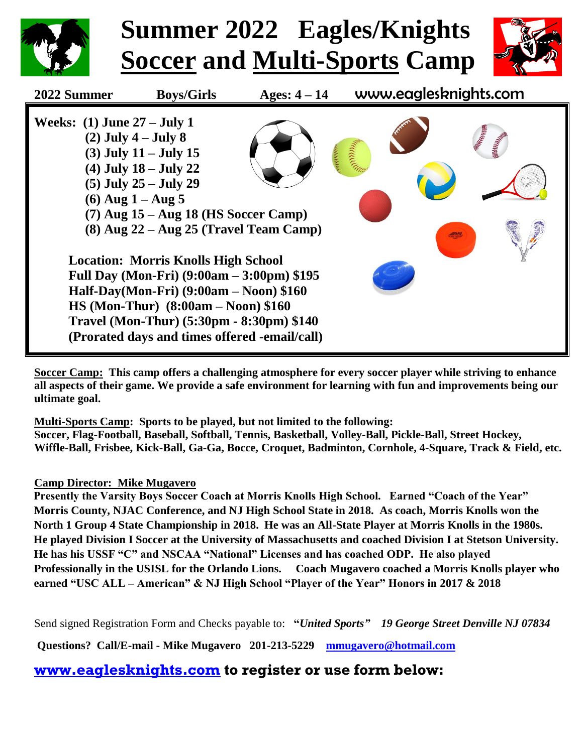

**Soccer Camp: This camp offers a challenging atmosphere for every soccer player while striving to enhance all aspects of their game. We provide a safe environment for learning with fun and improvements being our ultimate goal.**

**Multi-Sports Camp: Sports to be played, but not limited to the following: Soccer, Flag-Football, Baseball, Softball, Tennis, Basketball, Volley-Ball, Pickle-Ball, Street Hockey, Wiffle-Ball, Frisbee, Kick-Ball, Ga-Ga, Bocce, Croquet, Badminton, Cornhole, 4-Square, Track & Field, etc.**

## **Camp Director: Mike Mugavero**

**Presently the Varsity Boys Soccer Coach at Morris Knolls High School. Earned "Coach of the Year" Morris County, NJAC Conference, and NJ High School State in 2018. As coach, Morris Knolls won the North 1 Group 4 State Championship in 2018. He was an All-State Player at Morris Knolls in the 1980s. He played Division I Soccer at the University of Massachusetts and coached Division I at Stetson University. He has his USSF "C" and NSCAA "National" Licenses and has coached ODP. He also played Professionally in the USISL for the Orlando Lions. Coach Mugavero coached a Morris Knolls player who earned "USC ALL – American" & NJ High School "Player of the Year" Honors in 2017 & 2018**

Send signed Registration Form and Checks payable to: **"***United Sports" 19 George Street Denville NJ 07834* 

**Questions? Call/E-mail - Mike Mugavero 201-213-5229 [mmugavero@hotmail.com](mailto:mmugavero@hotmail.com)**

**[www.eaglesknights.com](http://www.eaglesknights.com/) to register or use form below:**